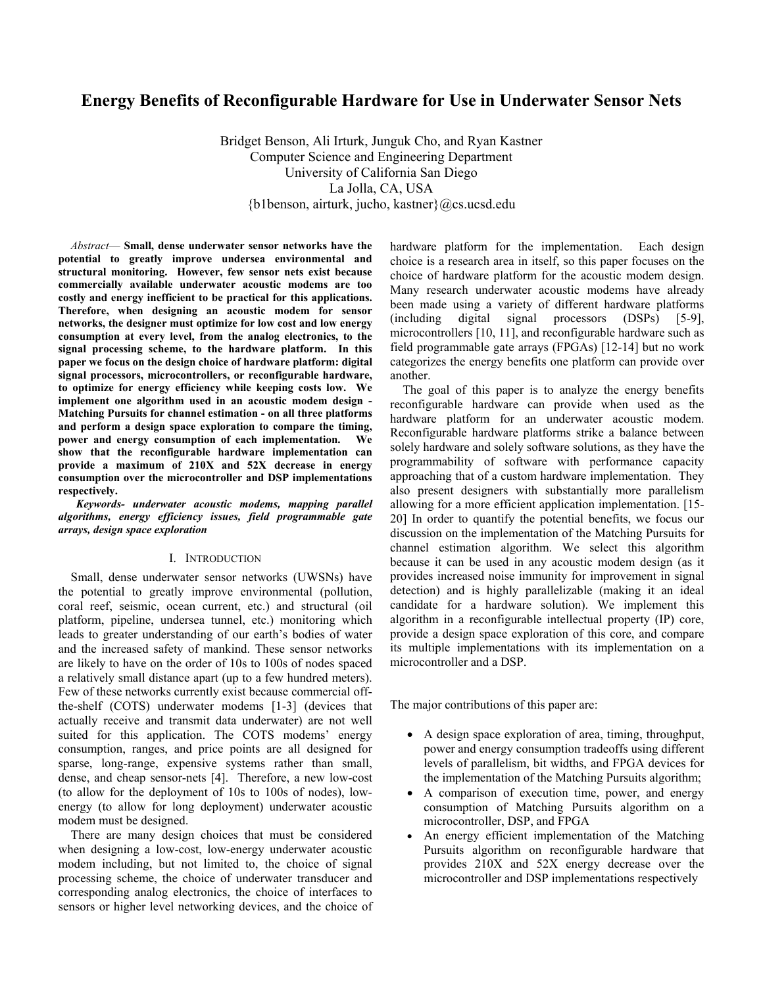# **Energy Benefits of Reconfigurable Hardware for Use in Underwater Sensor Nets**

Bridget Benson, Ali Irturk, Junguk Cho, and Ryan Kastner Computer Science and Engineering Department University of California San Diego La Jolla, CA, USA {b1benson, airturk, jucho, kastner}@cs.ucsd.edu

*Abstract*— **Small, dense underwater sensor networks have the potential to greatly improve undersea environmental and structural monitoring. However, few sensor nets exist because commercially available underwater acoustic modems are too costly and energy inefficient to be practical for this applications. Therefore, when designing an acoustic modem for sensor networks, the designer must optimize for low cost and low energy consumption at every level, from the analog electronics, to the signal processing scheme, to the hardware platform. In this paper we focus on the design choice of hardware platform: digital signal processors, microcontrollers, or reconfigurable hardware, to optimize for energy efficiency while keeping costs low. We implement one algorithm used in an acoustic modem design - Matching Pursuits for channel estimation - on all three platforms and perform a design space exploration to compare the timing, power and energy consumption of each implementation. We show that the reconfigurable hardware implementation can provide a maximum of 210X and 52X decrease in energy consumption over the microcontroller and DSP implementations respectively.** 

*Keywords- underwater acoustic modems, mapping parallel algorithms, energy efficiency issues, field programmable gate arrays, design space exploration* 

#### I. INTRODUCTION

Small, dense underwater sensor networks (UWSNs) have the potential to greatly improve environmental (pollution, coral reef, seismic, ocean current, etc.) and structural (oil platform, pipeline, undersea tunnel, etc.) monitoring which leads to greater understanding of our earth's bodies of water and the increased safety of mankind. These sensor networks are likely to have on the order of 10s to 100s of nodes spaced a relatively small distance apart (up to a few hundred meters). Few of these networks currently exist because commercial offthe-shelf (COTS) underwater modems [1-3] (devices that actually receive and transmit data underwater) are not well suited for this application. The COTS modems' energy consumption, ranges, and price points are all designed for sparse, long-range, expensive systems rather than small, dense, and cheap sensor-nets [4]. Therefore, a new low-cost (to allow for the deployment of 10s to 100s of nodes), lowenergy (to allow for long deployment) underwater acoustic modem must be designed.

There are many design choices that must be considered when designing a low-cost, low-energy underwater acoustic modem including, but not limited to, the choice of signal processing scheme, the choice of underwater transducer and corresponding analog electronics, the choice of interfaces to sensors or higher level networking devices, and the choice of hardware platform for the implementation. Each design choice is a research area in itself, so this paper focuses on the choice of hardware platform for the acoustic modem design. Many research underwater acoustic modems have already been made using a variety of different hardware platforms (including digital signal processors (DSPs) [5-9], microcontrollers [10, 11], and reconfigurable hardware such as field programmable gate arrays (FPGAs) [12-14] but no work categorizes the energy benefits one platform can provide over another.

The goal of this paper is to analyze the energy benefits reconfigurable hardware can provide when used as the hardware platform for an underwater acoustic modem. Reconfigurable hardware platforms strike a balance between solely hardware and solely software solutions, as they have the programmability of software with performance capacity approaching that of a custom hardware implementation. They also present designers with substantially more parallelism allowing for a more efficient application implementation. [15- 20] In order to quantify the potential benefits, we focus our discussion on the implementation of the Matching Pursuits for channel estimation algorithm. We select this algorithm because it can be used in any acoustic modem design (as it provides increased noise immunity for improvement in signal detection) and is highly parallelizable (making it an ideal candidate for a hardware solution). We implement this algorithm in a reconfigurable intellectual property (IP) core, provide a design space exploration of this core, and compare its multiple implementations with its implementation on a microcontroller and a DSP.

The major contributions of this paper are:

- A design space exploration of area, timing, throughput, power and energy consumption tradeoffs using different levels of parallelism, bit widths, and FPGA devices for the implementation of the Matching Pursuits algorithm;
- A comparison of execution time, power, and energy consumption of Matching Pursuits algorithm on a microcontroller, DSP, and FPGA
- An energy efficient implementation of the Matching Pursuits algorithm on reconfigurable hardware that provides 210X and 52X energy decrease over the microcontroller and DSP implementations respectively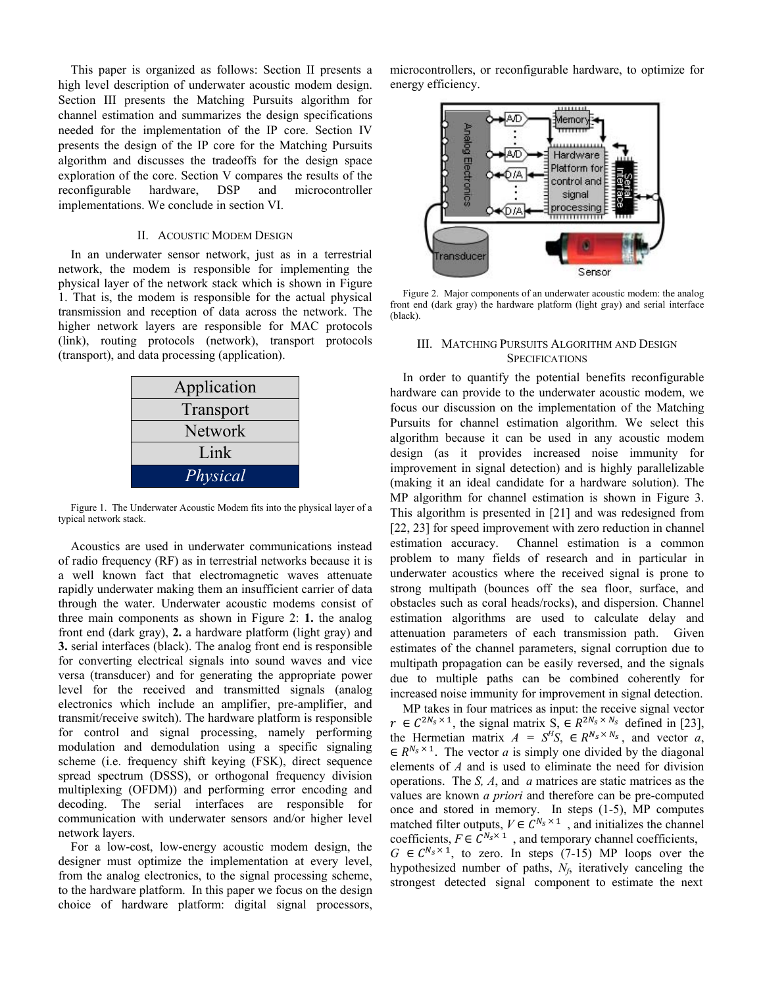This paper is organized as follows: Section II presents a high level description of underwater acoustic modem design. Section III presents the Matching Pursuits algorithm for channel estimation and summarizes the design specifications needed for the implementation of the IP core. Section IV presents the design of the IP core for the Matching Pursuits algorithm and discusses the tradeoffs for the design space exploration of the core. Section V compares the results of the reconfigurable hardware, DSP and microcontroller implementations. We conclude in section VI.

### II. ACOUSTIC MODEM DESIGN

In an underwater sensor network, just as in a terrestrial network, the modem is responsible for implementing the physical layer of the network stack which is shown in Figure 1. That is, the modem is responsible for the actual physical transmission and reception of data across the network. The higher network layers are responsible for MAC protocols (link), routing protocols (network), transport protocols (transport), and data processing (application).

| Application    |
|----------------|
| Transport      |
| <b>Network</b> |
| Link           |
| Physical       |

Figure 1. The Underwater Acoustic Modem fits into the physical layer of a typical network stack.

Acoustics are used in underwater communications instead of radio frequency (RF) as in terrestrial networks because it is a well known fact that electromagnetic waves attenuate rapidly underwater making them an insufficient carrier of data through the water. Underwater acoustic modems consist of three main components as shown in Figure 2: **1.** the analog front end (dark gray), **2.** a hardware platform (light gray) and **3.** serial interfaces (black). The analog front end is responsible for converting electrical signals into sound waves and vice versa (transducer) and for generating the appropriate power level for the received and transmitted signals (analog electronics which include an amplifier, pre-amplifier, and transmit/receive switch). The hardware platform is responsible for control and signal processing, namely performing modulation and demodulation using a specific signaling scheme (i.e. frequency shift keying (FSK), direct sequence spread spectrum (DSSS), or orthogonal frequency division multiplexing (OFDM)) and performing error encoding and decoding. The serial interfaces are responsible for communication with underwater sensors and/or higher level network layers.

For a low-cost, low-energy acoustic modem design, the designer must optimize the implementation at every level, from the analog electronics, to the signal processing scheme, to the hardware platform. In this paper we focus on the design choice of hardware platform: digital signal processors,

microcontrollers, or reconfigurable hardware, to optimize for energy efficiency.



Figure 2. Major components of an underwater acoustic modem: the analog front end (dark gray) the hardware platform (light gray) and serial interface (black).

#### III. MATCHING PURSUITS ALGORITHM AND DESIGN **SPECIFICATIONS**

In order to quantify the potential benefits reconfigurable hardware can provide to the underwater acoustic modem, we focus our discussion on the implementation of the Matching Pursuits for channel estimation algorithm. We select this algorithm because it can be used in any acoustic modem design (as it provides increased noise immunity for improvement in signal detection) and is highly parallelizable (making it an ideal candidate for a hardware solution). The MP algorithm for channel estimation is shown in Figure 3. This algorithm is presented in [21] and was redesigned from [22, 23] for speed improvement with zero reduction in channel estimation accuracy. Channel estimation is a common problem to many fields of research and in particular in underwater acoustics where the received signal is prone to strong multipath (bounces off the sea floor, surface, and obstacles such as coral heads/rocks), and dispersion. Channel estimation algorithms are used to calculate delay and attenuation parameters of each transmission path. Given estimates of the channel parameters, signal corruption due to multipath propagation can be easily reversed, and the signals due to multiple paths can be combined coherently for increased noise immunity for improvement in signal detection.

MP takes in four matrices as input: the receive signal vector  $r \in C^{2N_s \times 1}$ , the signal matrix  $S_n \in R^{2N_s \times N_s}$  defined in [23], the Hermetian matrix  $A = S^H S$ ,  $\in R^{N_s \times N_s}$ , and vector *a*,  $\in R^{N_s \times 1}$ . The vector *a* is simply one divided by the diagonal elements of *A* and is used to eliminate the need for division operations. The *S, A*, and *a* matrices are static matrices as the values are known *a priori* and therefore can be pre-computed once and stored in memory. In steps (1-5), MP computes matched filter outputs,  $V \in C^{N_s \times 1}$ , and initializes the channel coefficients,  $F \in C^{N_s \times 1}$ , and temporary channel coefficients,  $G \in C^{N_s \times 1}$ , to zero. In steps (7-15) MP loops over the hypothesized number of paths, *Nf*, iteratively canceling the strongest detected signal component to estimate the next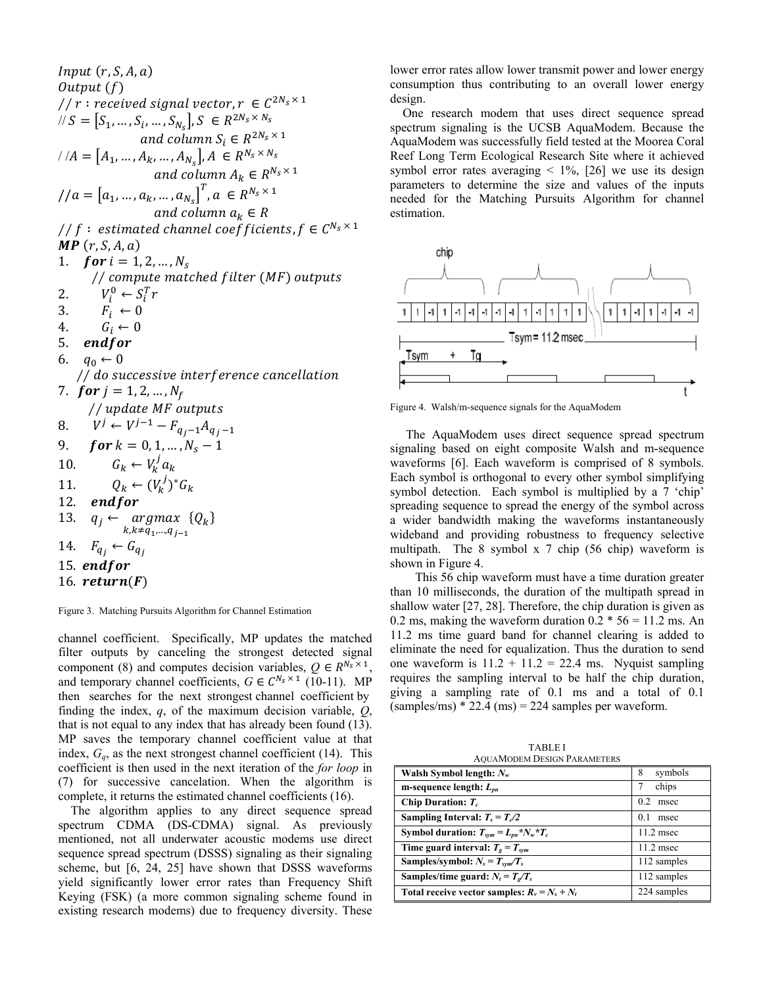$Input(r, S, A, a)$ Output (f) //  $r$  : received signal vector,  $r \in C^{2N_s \times 1}$  $\ell / S = [S_1, ..., S_i, ..., S_{N_s}], S \in R^{2N_s \times N_s}$ and column  $S_i \in R^{2N_s \times 1}$  $M/A = [A_1, ..., A_k, ..., A_{N_s}], A \in R^N$ d column  $S_i \in R^{2N_s}$  $(A_{N_s},..., A_{N_s}), A \in R^{N_s \times N_s}$ <br>and column  $A_s \in R^{N_s \times N_s}$  $_1$ , ...,  $A_k$ , ...,  $A_N$ and column  $A_k \in R^{N_S}$  $=$ and column  $A_k \in R$  $1/a = [a_1, ..., a_k, ..., a_{N_s}]^T, a \in R^{N_s \times 1}$ and column  $a_k \in R$ // f: estimated channel coefficients,  $f \in C^{N_s \times 1}$  $\textsf{MP}(r, S, A, a)$ 1.  $for i = 1, 2, ..., N_s$ // compute matched filter (MF) outputs 2.  $V_i^0 \leftarrow S_i^T r$ 0 0 3.  $F_i \leftarrow$ 4.  $G_i \leftarrow$ 5. endfor 6.  $q_0 \leftarrow 0$ // do successive interference cancellation 7.  $for j = 1, 2, ..., N_f$ // update MF outputs 8.  $V^j \leftarrow V^{j-1} - F_{q_j - 1} A_{q_j - 1}$ 9.  $\textbf{\textit{for}}\ k = 0, 1, ..., N_{\rm s} - 1$ 10.  $G_k \leftarrow V_k^j a_k$ 11.  $Q_k \leftarrow (V_k^j)^* G_k$ <br>12. **endfor** end for  $\leftarrow$  argmax 13.  $q_j \leftarrow \underset{k,k \neq q_1, \dots, q_{j-1}}{argmax} \{Q_k\}$ 14.  $F_{q_i} \leftarrow G_{q_i}$ 15. endfor 16.  $return(F)$ 

Figure 3. Matching Pursuits Algorithm for Channel Estimation

channel coefficient. Specifically, MP updates the matched filter outputs by canceling the strongest detected signal component (8) and computes decision variables,  $Q \in R^{N_s \times 1}$ . and temporary channel coefficients,  $G \in C^{N_s \times 1}$  (10-11). MP then searches for the next strongest channel coefficient by finding the index, *q*, of the maximum decision variable, *Q*, that is not equal to any index that has already been found (13). MP saves the temporary channel coefficient value at that index,  $G_q$ , as the next strongest channel coefficient (14). This coefficient is then used in the next iteration of the *for loop* in (7) for successive cancelation. When the algorithm is complete, it returns the estimated channel coefficients (16).

The algorithm applies to any direct sequence spread spectrum CDMA (DS-CDMA) signal. As previously mentioned, not all underwater acoustic modems use direct sequence spread spectrum (DSSS) signaling as their signaling scheme, but [6, 24, 25] have shown that DSSS waveforms yield significantly lower error rates than Frequency Shift Keying (FSK) (a more common signaling scheme found in existing research modems) due to frequency diversity. These lower error rates allow lower transmit power and lower energy consumption thus contributing to an overall lower energy design.

 One research modem that uses direct sequence spread spectrum signaling is the UCSB AquaModem. Because the AquaModem was successfully field tested at the Moorea Coral Reef Long Term Ecological Research Site where it achieved symbol error rates averaging  $\leq 1\%$ , [26] we use its design parameters to determine the size and values of the inputs needed for the Matching Pursuits Algorithm for channel estimation.



Figure 4. Walsh/m-sequence signals for the AquaModem

 The AquaModem uses direct sequence spread spectrum signaling based on eight composite Walsh and m-sequence waveforms [6]. Each waveform is comprised of 8 symbols. Each symbol is orthogonal to every other symbol simplifying symbol detection. Each symbol is multiplied by a 7 'chip' spreading sequence to spread the energy of the symbol across a wider bandwidth making the waveforms instantaneously wideband and providing robustness to frequency selective multipath. The 8 symbol x 7 chip (56 chip) waveform is shown in Figure 4.

 This 56 chip waveform must have a time duration greater than 10 milliseconds, the duration of the multipath spread in shallow water [27, 28]. Therefore, the chip duration is given as 0.2 ms, making the waveform duration  $0.2 * 56 = 11.2$  ms. An 11.2 ms time guard band for channel clearing is added to eliminate the need for equalization. Thus the duration to send one waveform is  $11.2 + 11.2 = 22.4$  ms. Nyquist sampling requires the sampling interval to be half the chip duration, giving a sampling rate of 0.1 ms and a total of 0.1  $(samples/ms) * 22.4 (ms) = 224 samples per waveform.$ 

TABLE I AQUAMODEM DESIGN PARAMETERS

| Walsh Symbol length: $N_w$                      | symbols<br>8 |
|-------------------------------------------------|--------------|
| m-sequence length: $L_{nn}$                     | chips        |
| Chip Duration: $T_c$                            | 0.2<br>msec  |
| Sampling Interval: $T_s = T_c/2$                | 0.1<br>msec  |
| Symbol duration: $T_{sym} = L_{nn} * N_w * T_c$ | $11.2$ msec  |
| Time guard interval: $T_g = T_{sym}$            | $11.2$ msec  |
| Samples/symbol: $N_s = T_{sym}/T_s$             | 112 samples  |
| Samples/time guard: $N_t = T_e/T_s$             | 112 samples  |
| Total receive vector samples: $R_v = N_s + N_t$ | 224 samples  |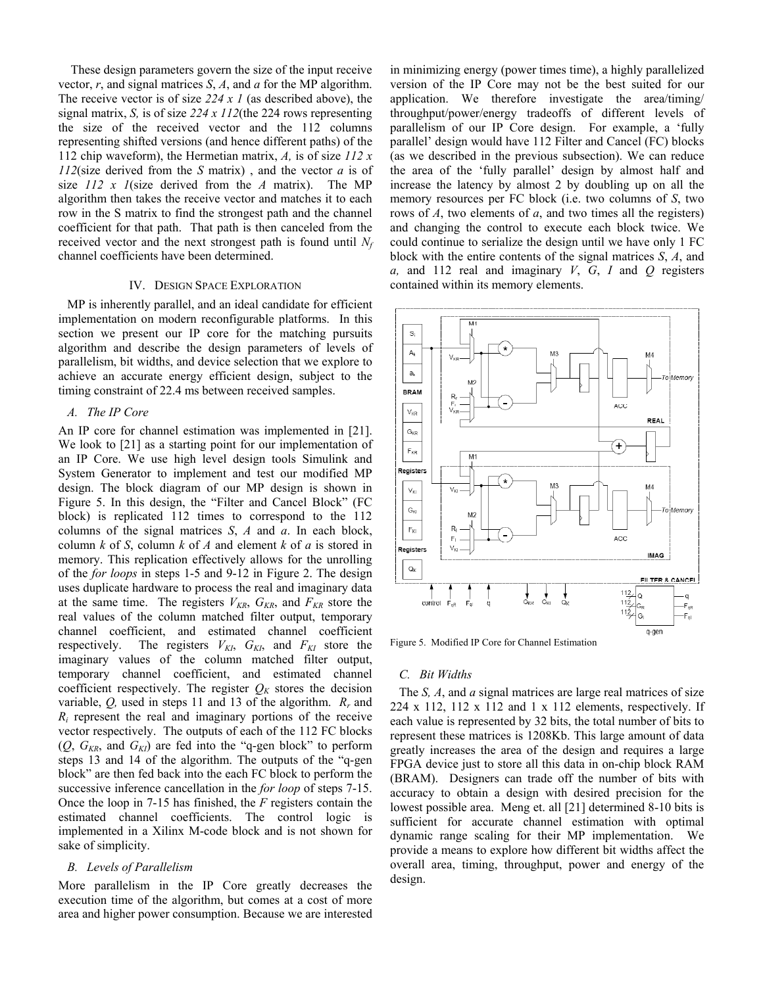These design parameters govern the size of the input receive vector, *r*, and signal matrices *S*, *A*, and *a* for the MP algorithm. The receive vector is of size *224 x 1* (as described above), the signal matrix, *S,* is of size *224 x 112*(the 224 rows representing the size of the received vector and the 112 columns representing shifted versions (and hence different paths) of the 112 chip waveform), the Hermetian matrix, *A,* is of size *112 x 112*(size derived from the *S* matrix) , and the vector *a* is of size *112 x 1*(size derived from the *A* matrix). The MP algorithm then takes the receive vector and matches it to each row in the S matrix to find the strongest path and the channel coefficient for that path. That path is then canceled from the received vector and the next strongest path is found until  $N_f$ channel coefficients have been determined.

#### IV. DESIGN SPACE EXPLORATION

MP is inherently parallel, and an ideal candidate for efficient implementation on modern reconfigurable platforms. In this section we present our IP core for the matching pursuits algorithm and describe the design parameters of levels of parallelism, bit widths, and device selection that we explore to achieve an accurate energy efficient design, subject to the timing constraint of 22.4 ms between received samples.

## *A. The IP Core*

An IP core for channel estimation was implemented in [21]. We look to [21] as a starting point for our implementation of an IP Core. We use high level design tools Simulink and System Generator to implement and test our modified MP design. The block diagram of our MP design is shown in Figure 5. In this design, the "Filter and Cancel Block" (FC block) is replicated 112 times to correspond to the 112 columns of the signal matrices *S*, *A* and *a*. In each block, column *k* of *S*, column *k* of *A* and element *k* of *a* is stored in memory. This replication effectively allows for the unrolling of the *for loops* in steps 1-5 and 9-12 in Figure 2. The design uses duplicate hardware to process the real and imaginary data at the same time. The registers  $V_{KR}$ ,  $G_{KR}$ , and  $F_{KR}$  store the real values of the column matched filter output, temporary channel coefficient, and estimated channel coefficient respectively. The registers  $V_{KI}$ ,  $G_{KI}$ , and  $F_{KI}$  store the imaginary values of the column matched filter output, temporary channel coefficient, and estimated channel coefficient respectively. The register  $Q_K$  stores the decision variable, *Q,* used in steps 11 and 13 of the algorithm. *Rr* and  $R_i$  represent the real and imaginary portions of the receive vector respectively. The outputs of each of the 112 FC blocks  $(Q, G_{KR}, \text{ and } G_{KI})$  are fed into the "q-gen block" to perform steps 13 and 14 of the algorithm. The outputs of the "q-gen block" are then fed back into the each FC block to perform the successive inference cancellation in the *for loop* of steps 7-15. Once the loop in 7-15 has finished, the *F* registers contain the estimated channel coefficients. The control logic is implemented in a Xilinx M-code block and is not shown for sake of simplicity.

## *B. Levels of Parallelism*

More parallelism in the IP Core greatly decreases the execution time of the algorithm, but comes at a cost of more area and higher power consumption. Because we are interested in minimizing energy (power times time), a highly parallelized version of the IP Core may not be the best suited for our application. We therefore investigate the area/timing/ throughput/power/energy tradeoffs of different levels of parallelism of our IP Core design. For example, a 'fully parallel' design would have 112 Filter and Cancel (FC) blocks (as we described in the previous subsection). We can reduce the area of the 'fully parallel' design by almost half and increase the latency by almost 2 by doubling up on all the memory resources per FC block (i.e. two columns of *S*, two rows of *A*, two elements of *a*, and two times all the registers) and changing the control to execute each block twice. We could continue to serialize the design until we have only 1 FC block with the entire contents of the signal matrices *S*, *A*, and *a,* and 112 real and imaginary *V*, *G*, *I* and *Q* registers contained within its memory elements.



Figure 5. Modified IP Core for Channel Estimation

#### *C. Bit Widths*

The *S, A*, and *a* signal matrices are large real matrices of size  $224 \times 112$ ,  $112 \times 112$  and 1 x 112 elements, respectively. If each value is represented by 32 bits, the total number of bits to represent these matrices is 1208Kb. This large amount of data greatly increases the area of the design and requires a large FPGA device just to store all this data in on-chip block RAM (BRAM). Designers can trade off the number of bits with accuracy to obtain a design with desired precision for the lowest possible area. Meng et. all [21] determined 8-10 bits is sufficient for accurate channel estimation with optimal dynamic range scaling for their MP implementation. We provide a means to explore how different bit widths affect the overall area, timing, throughput, power and energy of the design.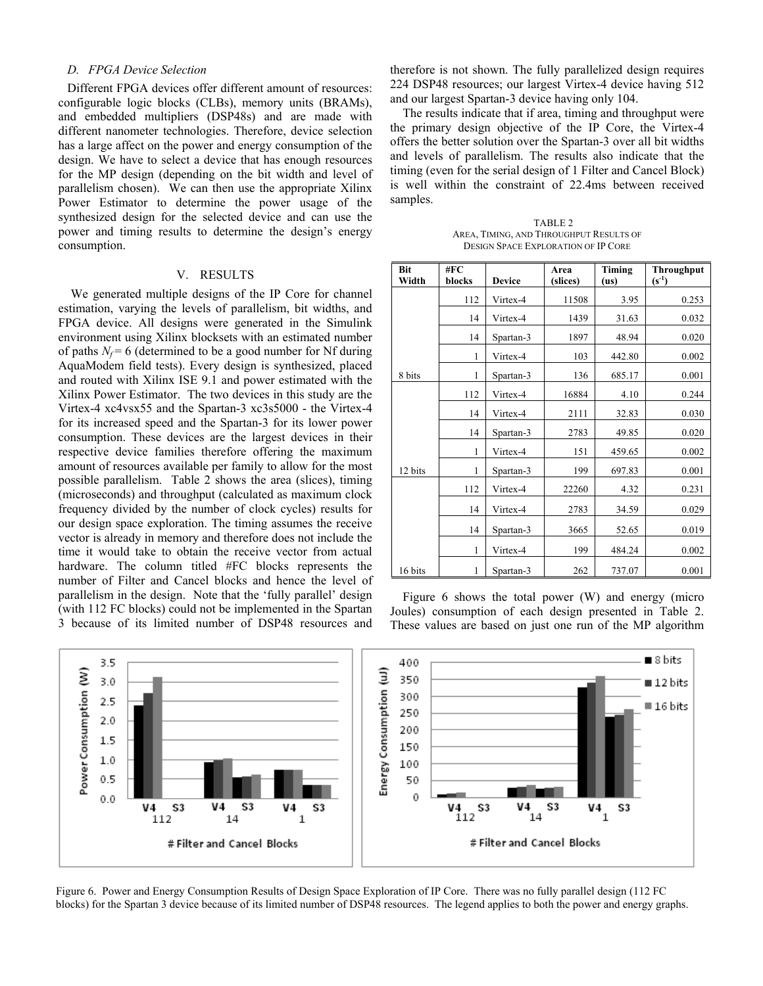## *D. FPGA Device Selection*

Different FPGA devices offer different amount of resources: configurable logic blocks (CLBs), memory units (BRAMs), and embedded multipliers (DSP48s) and are made with different nanometer technologies. Therefore, device selection has a large affect on the power and energy consumption of the design. We have to select a device that has enough resources for the MP design (depending on the bit width and level of parallelism chosen). We can then use the appropriate Xilinx Power Estimator to determine the power usage of the synthesized design for the selected device and can use the power and timing results to determine the design's energy consumption.

### V. RESULTS

We generated multiple designs of the IP Core for channel estimation, varying the levels of parallelism, bit widths, and FPGA device. All designs were generated in the Simulink environment using Xilinx blocksets with an estimated number of paths  $N_f = 6$  (determined to be a good number for Nf during AquaModem field tests). Every design is synthesized, placed and routed with Xilinx ISE 9.1 and power estimated with the Xilinx Power Estimator. The two devices in this study are the Virtex-4 xc4vsx55 and the Spartan-3 xc3s5000 - the Virtex-4 for its increased speed and the Spartan-3 for its lower power consumption. These devices are the largest devices in their respective device families therefore offering the maximum amount of resources available per family to allow for the most possible parallelism. Table 2 shows the area (slices), timing (microseconds) and throughput (calculated as maximum clock frequency divided by the number of clock cycles) results for our design space exploration. The timing assumes the receive vector is already in memory and therefore does not include the time it would take to obtain the receive vector from actual hardware. The column titled #FC blocks represents the number of Filter and Cancel blocks and hence the level of parallelism in the design. Note that the 'fully parallel' design (with 112 FC blocks) could not be implemented in the Spartan 3 because of its limited number of DSP48 resources and therefore is not shown. The fully parallelized design requires 224 DSP48 resources; our largest Virtex-4 device having 512 and our largest Spartan-3 device having only 104.

The results indicate that if area, timing and throughput were the primary design objective of the IP Core, the Virtex-4 offers the better solution over the Spartan-3 over all bit widths and levels of parallelism. The results also indicate that the timing (even for the serial design of 1 Filter and Cancel Block) is well within the constraint of 22.4ms between received samples.

TABLE 2 AREA, TIMING, AND THROUGHPUT RESULTS OF DESIGN SPACE EXPLORATION OF IP CORE

| Bit<br>Width | #FC<br>blocks | <b>Device</b> | Area<br>(slices) | Timing<br>(us) | Throughput<br>$(s^{-1})$ |
|--------------|---------------|---------------|------------------|----------------|--------------------------|
|              | 112           | Virtex-4      | 11508            | 3.95           | 0.253                    |
|              | 14            | Virtex-4      | 1439             | 31.63          | 0.032                    |
|              | 14            | Spartan-3     | 1897             | 48.94          | 0.020                    |
|              | 1             | Virtex-4      | 103              | 442.80         | 0.002                    |
| 8 bits       | 1             | Spartan-3     | 136              | 685.17         | 0.001                    |
|              | 112           | Virtex-4      | 16884            | 4.10           | 0.244                    |
|              | 14            | Virtex-4      | 2111             | 32.83          | 0.030                    |
|              | 14            | Spartan-3     | 2783             | 49.85          | 0.020                    |
|              | 1             | Virtex-4      | 151              | 459.65         | 0.002                    |
| 12 bits      | 1             | Spartan-3     | 199              | 697.83         | 0.001                    |
|              | 112           | Virtex-4      | 22260            | 4.32           | 0.231                    |
|              | 14            | Virtex-4      | 2783             | 34.59          | 0.029                    |
|              | 14            | Spartan-3     | 3665             | 52.65          | 0.019                    |
|              | 1             | Virtex-4      | 199              | 484.24         | 0.002                    |
| 16 bits      | 1             | Spartan-3     | 262              | 737.07         | 0.001                    |

Figure 6 shows the total power (W) and energy (micro Joules) consumption of each design presented in Table 2. These values are based on just one run of the MP algorithm



Figure 6. Power and Energy Consumption Results of Design Space Exploration of IP Core. There was no fully parallel design (112 FC blocks) for the Spartan 3 device because of its limited number of DSP48 resources. The legend applies to both the power and energy graphs.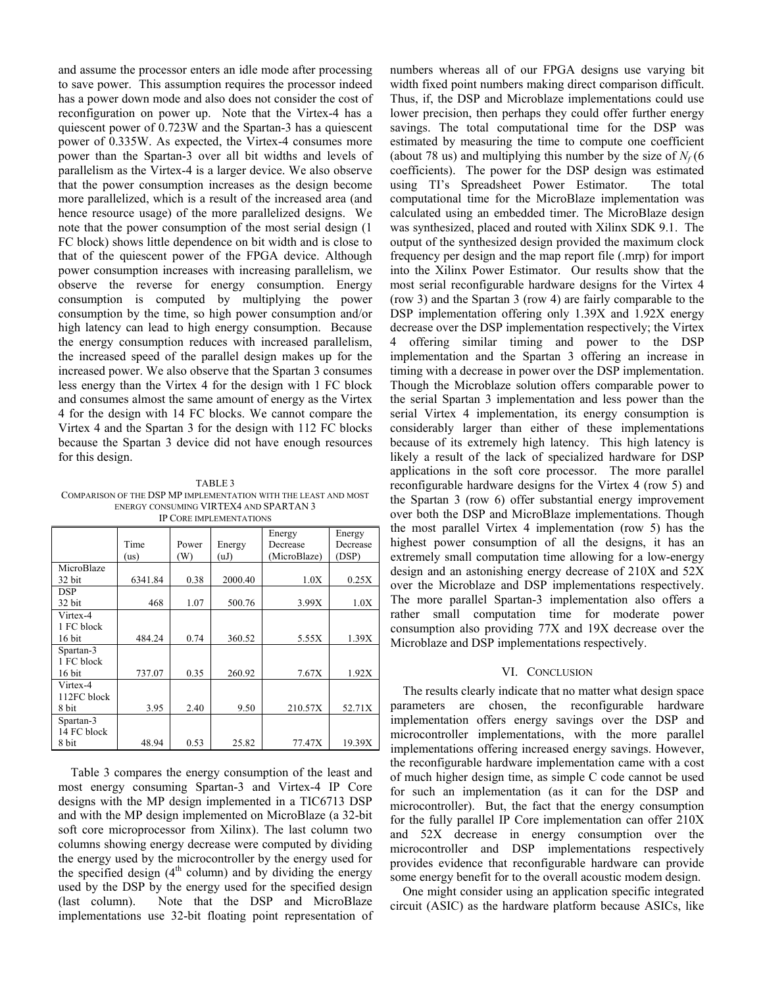and assume the processor enters an idle mode after processing to save power. This assumption requires the processor indeed has a power down mode and also does not consider the cost of reconfiguration on power up. Note that the Virtex-4 has a quiescent power of 0.723W and the Spartan-3 has a quiescent power of 0.335W. As expected, the Virtex-4 consumes more power than the Spartan-3 over all bit widths and levels of parallelism as the Virtex-4 is a larger device. We also observe that the power consumption increases as the design become more parallelized, which is a result of the increased area (and hence resource usage) of the more parallelized designs. We note that the power consumption of the most serial design (1 FC block) shows little dependence on bit width and is close to that of the quiescent power of the FPGA device. Although power consumption increases with increasing parallelism, we observe the reverse for energy consumption. Energy consumption is computed by multiplying the power consumption by the time, so high power consumption and/or high latency can lead to high energy consumption. Because the energy consumption reduces with increased parallelism, the increased speed of the parallel design makes up for the increased power. We also observe that the Spartan 3 consumes less energy than the Virtex 4 for the design with 1 FC block and consumes almost the same amount of energy as the Virtex 4 for the design with 14 FC blocks. We cannot compare the Virtex 4 and the Spartan 3 for the design with 112 FC blocks because the Spartan 3 device did not have enough resources for this design.

TABLE 3 COMPARISON OF THE DSP MP IMPLEMENTATION WITH THE LEAST AND MOST ENERGY CONSUMING VIRTEX4 AND SPARTAN 3 IP CORE IMPLEMENTATIONS

|             | Time<br>(us) | Power<br>(W) | Energy<br>(uJ) | Energy<br>Decrease<br>(MicroBlaze) | Energy<br>Decrease<br>(DSP) |
|-------------|--------------|--------------|----------------|------------------------------------|-----------------------------|
| MicroBlaze  |              |              |                |                                    |                             |
| 32 bit      | 6341.84      | 0.38         | 2000.40        | 1.0X                               | 0.25X                       |
| <b>DSP</b>  |              |              |                |                                    |                             |
| 32 bit      | 468          | 1.07         | 500.76         | 3.99X                              | 1.0X                        |
| Virtex-4    |              |              |                |                                    |                             |
| 1 FC block  |              |              |                |                                    |                             |
| 16 bit      | 484.24       | 0.74         | 360.52         | 5.55X                              | 1.39X                       |
| Spartan-3   |              |              |                |                                    |                             |
| 1 FC block  |              |              |                |                                    |                             |
| 16 bit      | 737.07       | 0.35         | 260.92         | 7.67X                              | 1.92X                       |
| Virtex-4    |              |              |                |                                    |                             |
| 112FC block |              |              |                |                                    |                             |
| 8 bit       | 3.95         | 2.40         | 9.50           | 210.57X                            | 52.71X                      |
| Spartan-3   |              |              |                |                                    |                             |
| 14 FC block |              |              |                |                                    |                             |
| 8 bit       | 48.94        | 0.53         | 25.82          | 77.47X                             | 19.39X                      |

Table 3 compares the energy consumption of the least and most energy consuming Spartan-3 and Virtex-4 IP Core designs with the MP design implemented in a TIC6713 DSP and with the MP design implemented on MicroBlaze (a 32-bit soft core microprocessor from Xilinx). The last column two columns showing energy decrease were computed by dividing the energy used by the microcontroller by the energy used for the specified design  $(4<sup>th</sup>$  column) and by dividing the energy used by the DSP by the energy used for the specified design (last column). Note that the DSP and MicroBlaze implementations use 32-bit floating point representation of numbers whereas all of our FPGA designs use varying bit width fixed point numbers making direct comparison difficult. Thus, if, the DSP and Microblaze implementations could use lower precision, then perhaps they could offer further energy savings. The total computational time for the DSP was estimated by measuring the time to compute one coefficient (about 78 us) and multiplying this number by the size of  $N_f$  (6 coefficients). The power for the DSP design was estimated using TI's Spreadsheet Power Estimator. The total computational time for the MicroBlaze implementation was calculated using an embedded timer. The MicroBlaze design was synthesized, placed and routed with Xilinx SDK 9.1. The output of the synthesized design provided the maximum clock frequency per design and the map report file (.mrp) for import into the Xilinx Power Estimator. Our results show that the most serial reconfigurable hardware designs for the Virtex 4 (row 3) and the Spartan 3 (row 4) are fairly comparable to the DSP implementation offering only 1.39X and 1.92X energy decrease over the DSP implementation respectively; the Virtex 4 offering similar timing and power to the DSP implementation and the Spartan 3 offering an increase in timing with a decrease in power over the DSP implementation. Though the Microblaze solution offers comparable power to the serial Spartan 3 implementation and less power than the serial Virtex 4 implementation, its energy consumption is considerably larger than either of these implementations because of its extremely high latency. This high latency is likely a result of the lack of specialized hardware for DSP applications in the soft core processor. The more parallel reconfigurable hardware designs for the Virtex 4 (row 5) and the Spartan 3 (row 6) offer substantial energy improvement over both the DSP and MicroBlaze implementations. Though the most parallel Virtex 4 implementation (row 5) has the highest power consumption of all the designs, it has an extremely small computation time allowing for a low-energy design and an astonishing energy decrease of 210X and 52X over the Microblaze and DSP implementations respectively. The more parallel Spartan-3 implementation also offers a rather small computation time for moderate power consumption also providing 77X and 19X decrease over the Microblaze and DSP implementations respectively.

## VI. CONCLUSION

The results clearly indicate that no matter what design space parameters are chosen, the reconfigurable hardware implementation offers energy savings over the DSP and microcontroller implementations, with the more parallel implementations offering increased energy savings. However, the reconfigurable hardware implementation came with a cost of much higher design time, as simple C code cannot be used for such an implementation (as it can for the DSP and microcontroller). But, the fact that the energy consumption for the fully parallel IP Core implementation can offer 210X and 52X decrease in energy consumption over the microcontroller and DSP implementations respectively provides evidence that reconfigurable hardware can provide some energy benefit for to the overall acoustic modem design.

 One might consider using an application specific integrated circuit (ASIC) as the hardware platform because ASICs, like